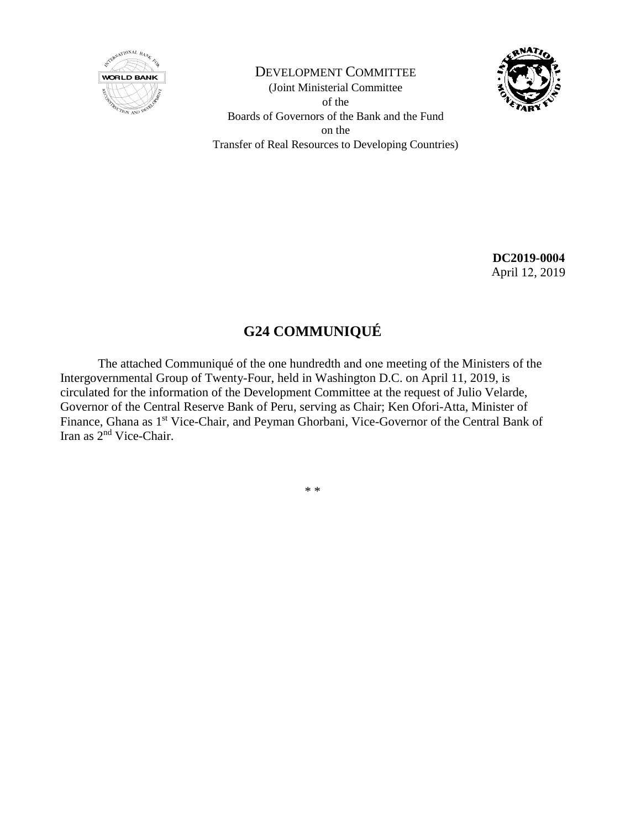

DEVELOPMENT COMMITTEE (Joint Ministerial Committee of the Boards of Governors of the Bank and the Fund on the Transfer of Real Resources to Developing Countries)



**DC2019-0004** April 12, 2019

# **G24 COMMUNIQUÉ**

The attached Communiqué of the one hundredth and one meeting of the Ministers of the Intergovernmental Group of Twenty-Four, held in Washington D.C. on April 11, 2019, is circulated for the information of the Development Committee at the request of Julio Velarde, Governor of the Central Reserve Bank of Peru, serving as Chair; Ken Ofori-Atta, Minister of Finance, Ghana as 1<sup>st</sup> Vice-Chair, and Peyman Ghorbani, Vice-Governor of the Central Bank of Iran as 2nd Vice-Chair.

\* \*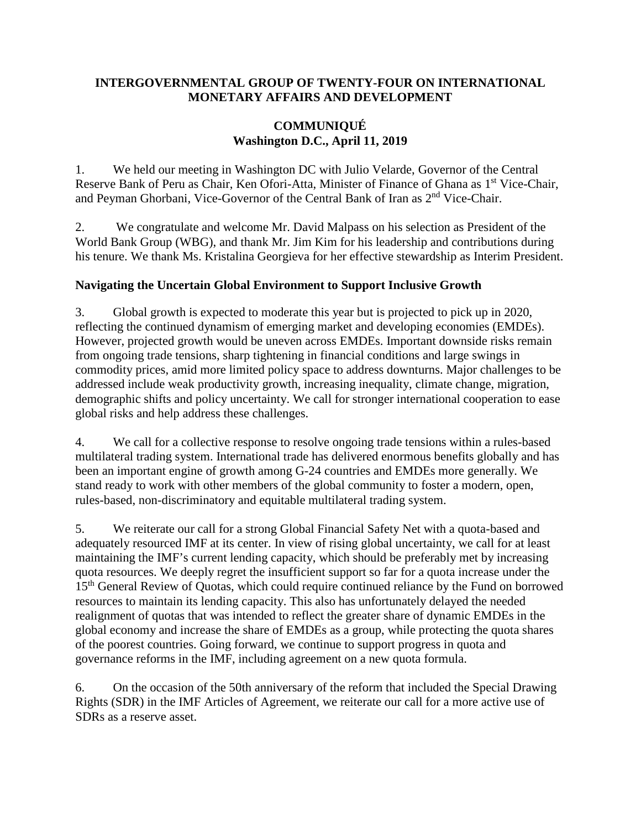#### **INTERGOVERNMENTAL GROUP OF TWENTY-FOUR ON INTERNATIONAL MONETARY AFFAIRS AND DEVELOPMENT**

### **COMMUNIQUÉ Washington D.C., April 11, 2019**

1. We held our meeting in Washington DC with Julio Velarde, Governor of the Central Reserve Bank of Peru as Chair, Ken Ofori-Atta, Minister of Finance of Ghana as 1<sup>st</sup> Vice-Chair, and Peyman Ghorbani, Vice-Governor of the Central Bank of Iran as 2nd Vice-Chair.

2. We congratulate and welcome Mr. David Malpass on his selection as President of the World Bank Group (WBG), and thank Mr. Jim Kim for his leadership and contributions during his tenure. We thank Ms. Kristalina Georgieva for her effective stewardship as Interim President.

## **Navigating the Uncertain Global Environment to Support Inclusive Growth**

3. Global growth is expected to moderate this year but is projected to pick up in 2020, reflecting the continued dynamism of emerging market and developing economies (EMDEs). However, projected growth would be uneven across EMDEs. Important downside risks remain from ongoing trade tensions, sharp tightening in financial conditions and large swings in commodity prices, amid more limited policy space to address downturns. Major challenges to be addressed include weak productivity growth, increasing inequality, climate change, migration, demographic shifts and policy uncertainty. We call for stronger international cooperation to ease global risks and help address these challenges.

4. We call for a collective response to resolve ongoing trade tensions within a rules-based multilateral trading system. International trade has delivered enormous benefits globally and has been an important engine of growth among G-24 countries and EMDEs more generally. We stand ready to work with other members of the global community to foster a modern, open, rules-based, non-discriminatory and equitable multilateral trading system.

5. We reiterate our call for a strong Global Financial Safety Net with a quota-based and adequately resourced IMF at its center. In view of rising global uncertainty, we call for at least maintaining the IMF's current lending capacity, which should be preferably met by increasing quota resources. We deeply regret the insufficient support so far for a quota increase under the 15<sup>th</sup> General Review of Quotas, which could require continued reliance by the Fund on borrowed resources to maintain its lending capacity. This also has unfortunately delayed the needed realignment of quotas that was intended to reflect the greater share of dynamic EMDEs in the global economy and increase the share of EMDEs as a group, while protecting the quota shares of the poorest countries. Going forward, we continue to support progress in quota and governance reforms in the IMF, including agreement on a new quota formula.

6. On the occasion of the 50th anniversary of the reform that included the Special Drawing Rights (SDR) in the IMF Articles of Agreement, we reiterate our call for a more active use of SDRs as a reserve asset.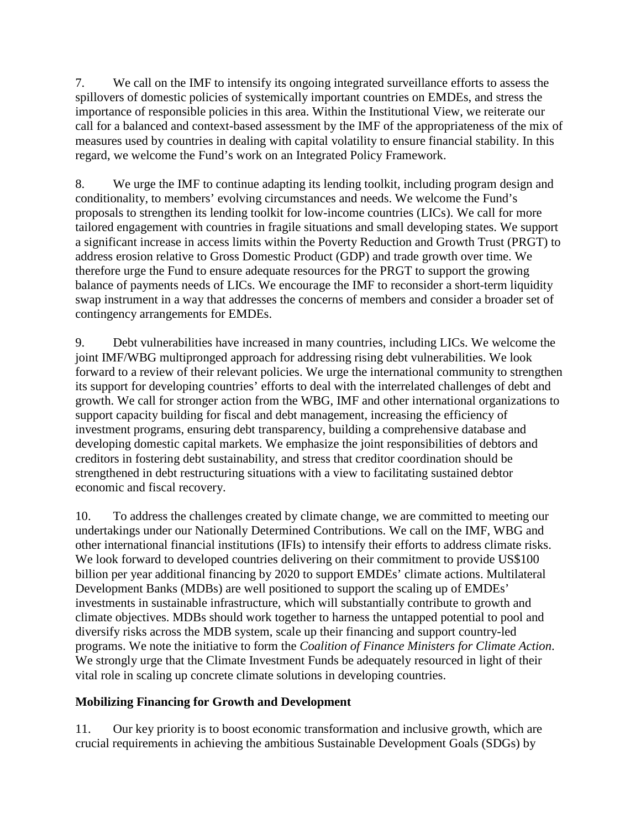7. We call on the IMF to intensify its ongoing integrated surveillance efforts to assess the spillovers of domestic policies of systemically important countries on EMDEs, and stress the importance of responsible policies in this area. Within the Institutional View, we reiterate our call for a balanced and context-based assessment by the IMF of the appropriateness of the mix of measures used by countries in dealing with capital volatility to ensure financial stability. In this regard, we welcome the Fund's work on an Integrated Policy Framework.

8. We urge the IMF to continue adapting its lending toolkit, including program design and conditionality, to members' evolving circumstances and needs. We welcome the Fund's proposals to strengthen its lending toolkit for low-income countries (LICs). We call for more tailored engagement with countries in fragile situations and small developing states. We support a significant increase in access limits within the Poverty Reduction and Growth Trust (PRGT) to address erosion relative to Gross Domestic Product (GDP) and trade growth over time. We therefore urge the Fund to ensure adequate resources for the PRGT to support the growing balance of payments needs of LICs. We encourage the IMF to reconsider a short-term liquidity swap instrument in a way that addresses the concerns of members and consider a broader set of contingency arrangements for EMDEs.

9. Debt vulnerabilities have increased in many countries, including LICs. We welcome the joint IMF/WBG multipronged approach for addressing rising debt vulnerabilities. We look forward to a review of their relevant policies. We urge the international community to strengthen its support for developing countries' efforts to deal with the interrelated challenges of debt and growth. We call for stronger action from the WBG, IMF and other international organizations to support capacity building for fiscal and debt management, increasing the efficiency of investment programs, ensuring debt transparency, building a comprehensive database and developing domestic capital markets. We emphasize the joint responsibilities of debtors and creditors in fostering debt sustainability, and stress that creditor coordination should be strengthened in debt restructuring situations with a view to facilitating sustained debtor economic and fiscal recovery.

10. To address the challenges created by climate change, we are committed to meeting our undertakings under our Nationally Determined Contributions. We call on the IMF, WBG and other international financial institutions (IFIs) to intensify their efforts to address climate risks. We look forward to developed countries delivering on their commitment to provide US\$100 billion per year additional financing by 2020 to support EMDEs' climate actions. Multilateral Development Banks (MDBs) are well positioned to support the scaling up of EMDEs' investments in sustainable infrastructure, which will substantially contribute to growth and climate objectives. MDBs should work together to harness the untapped potential to pool and diversify risks across the MDB system, scale up their financing and support country-led programs. We note the initiative to form the *Coalition of Finance Ministers for Climate Action*. We strongly urge that the Climate Investment Funds be adequately resourced in light of their vital role in scaling up concrete climate solutions in developing countries.

## **Mobilizing Financing for Growth and Development**

11. Our key priority is to boost economic transformation and inclusive growth, which are crucial requirements in achieving the ambitious Sustainable Development Goals (SDGs) by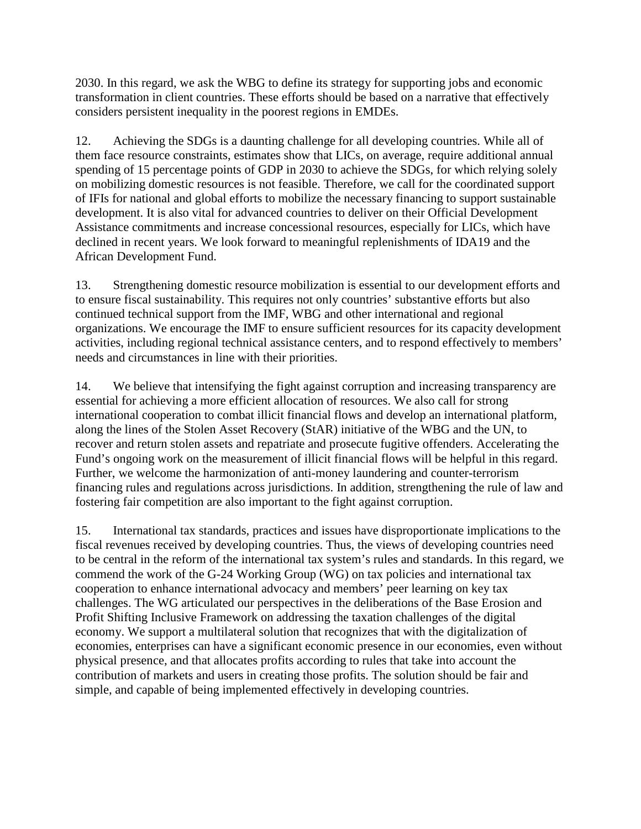2030. In this regard, we ask the WBG to define its strategy for supporting jobs and economic transformation in client countries. These efforts should be based on a narrative that effectively considers persistent inequality in the poorest regions in EMDEs.

12. Achieving the SDGs is a daunting challenge for all developing countries. While all of them face resource constraints, estimates show that LICs, on average, require additional annual spending of 15 percentage points of GDP in 2030 to achieve the SDGs, for which relying solely on mobilizing domestic resources is not feasible. Therefore, we call for the coordinated support of IFIs for national and global efforts to mobilize the necessary financing to support sustainable development. It is also vital for advanced countries to deliver on their Official Development Assistance commitments and increase concessional resources, especially for LICs, which have declined in recent years. We look forward to meaningful replenishments of IDA19 and the African Development Fund.

13. Strengthening domestic resource mobilization is essential to our development efforts and to ensure fiscal sustainability. This requires not only countries' substantive efforts but also continued technical support from the IMF, WBG and other international and regional organizations. We encourage the IMF to ensure sufficient resources for its capacity development activities, including regional technical assistance centers, and to respond effectively to members' needs and circumstances in line with their priorities.

14. We believe that intensifying the fight against corruption and increasing transparency are essential for achieving a more efficient allocation of resources. We also call for strong international cooperation to combat illicit financial flows and develop an international platform, along the lines of the Stolen Asset Recovery (StAR) initiative of the WBG and the UN, to recover and return stolen assets and repatriate and prosecute fugitive offenders. Accelerating the Fund's ongoing work on the measurement of illicit financial flows will be helpful in this regard. Further, we welcome the harmonization of anti-money laundering and counter-terrorism financing rules and regulations across jurisdictions. In addition, strengthening the rule of law and fostering fair competition are also important to the fight against corruption.

15. International tax standards, practices and issues have disproportionate implications to the fiscal revenues received by developing countries. Thus, the views of developing countries need to be central in the reform of the international tax system's rules and standards. In this regard, we commend the work of the G-24 Working Group (WG) on tax policies and international tax cooperation to enhance international advocacy and members' peer learning on key tax challenges. The WG articulated our perspectives in the deliberations of the Base Erosion and Profit Shifting Inclusive Framework on addressing the taxation challenges of the digital economy. We support a multilateral solution that recognizes that with the digitalization of economies, enterprises can have a significant economic presence in our economies, even without physical presence, and that allocates profits according to rules that take into account the contribution of markets and users in creating those profits. The solution should be fair and simple, and capable of being implemented effectively in developing countries.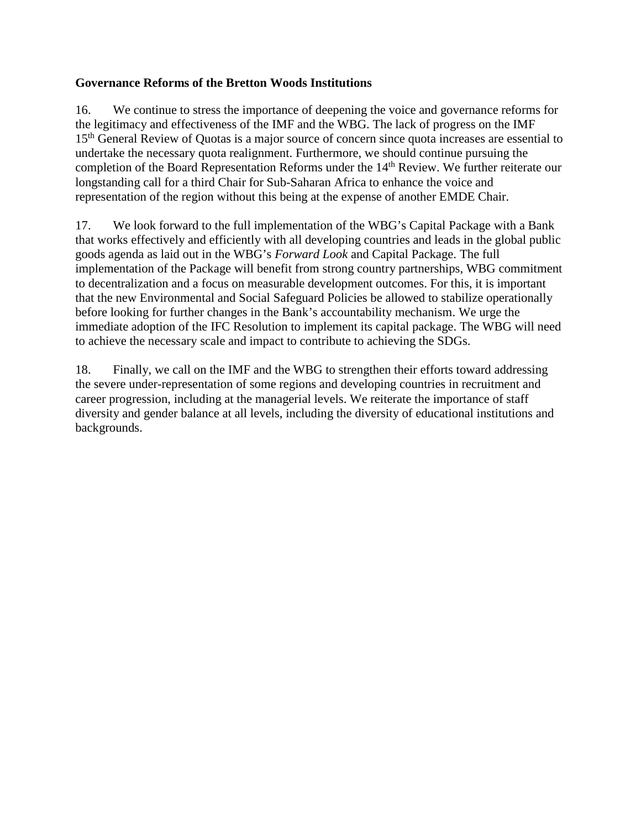### **Governance Reforms of the Bretton Woods Institutions**

16. We continue to stress the importance of deepening the voice and governance reforms for the legitimacy and effectiveness of the IMF and the WBG. The lack of progress on the IMF 15<sup>th</sup> General Review of Quotas is a major source of concern since quota increases are essential to undertake the necessary quota realignment. Furthermore, we should continue pursuing the completion of the Board Representation Reforms under the 14<sup>th</sup> Review. We further reiterate our longstanding call for a third Chair for Sub-Saharan Africa to enhance the voice and representation of the region without this being at the expense of another EMDE Chair.

17. We look forward to the full implementation of the WBG's Capital Package with a Bank that works effectively and efficiently with all developing countries and leads in the global public goods agenda as laid out in the WBG's *Forward Look* and Capital Package. The full implementation of the Package will benefit from strong country partnerships, WBG commitment to decentralization and a focus on measurable development outcomes. For this, it is important that the new Environmental and Social Safeguard Policies be allowed to stabilize operationally before looking for further changes in the Bank's accountability mechanism. We urge the immediate adoption of the IFC Resolution to implement its capital package. The WBG will need to achieve the necessary scale and impact to contribute to achieving the SDGs.

18. Finally, we call on the IMF and the WBG to strengthen their efforts toward addressing the severe under-representation of some regions and developing countries in recruitment and career progression, including at the managerial levels. We reiterate the importance of staff diversity and gender balance at all levels, including the diversity of educational institutions and backgrounds.